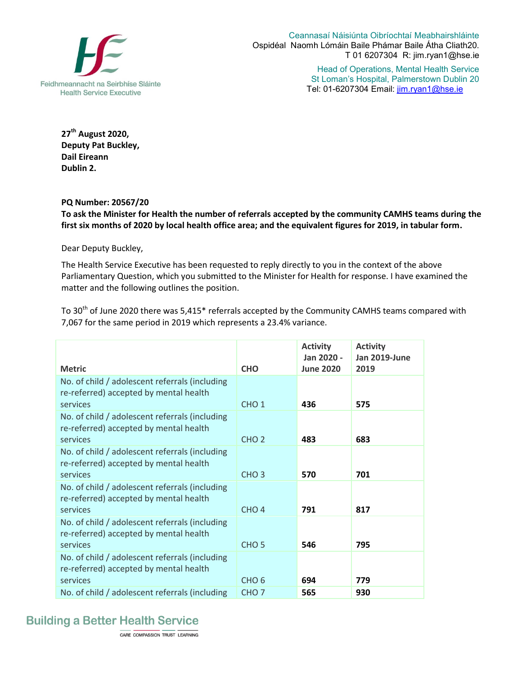

Ceannasaí Náisiúnta Oibríochtaí Meabhairshláinte Ospidéal Naomh Lómáin Baile Phámar Baile Átha Cliath20. T 01 6207304 R: jim.ryan1@hse.ie

> Head of Operations, Mental Health Service St Loman's Hospital, Palmerstown Dublin 20 Tel: 01-6207304 Email: jim.ryan1@hse.ie

**27th August 2020, Deputy Pat Buckley, Dail Eireann Dublin 2.** 

## **PQ Number: 20567/20**

**To ask the Minister for Health the number of referrals accepted by the community CAMHS teams during the first six months of 2020 by local health office area; and the equivalent figures for 2019, in tabular form.**

Dear Deputy Buckley,

The Health Service Executive has been requested to reply directly to you in the context of the above Parliamentary Question, which you submitted to the Minister for Health for response. I have examined the matter and the following outlines the position.

To 30<sup>th</sup> of June 2020 there was 5,415<sup>\*</sup> referrals accepted by the Community CAMHS teams compared with 7,067 for the same period in 2019 which represents a 23.4% variance.

| <b>Metric</b>                                                                                        | <b>CHO</b>       | <b>Activity</b><br>Jan 2020 -<br><b>June 2020</b> | <b>Activity</b><br>Jan 2019-June<br>2019 |
|------------------------------------------------------------------------------------------------------|------------------|---------------------------------------------------|------------------------------------------|
| No. of child / adolescent referrals (including<br>re-referred) accepted by mental health<br>services | CHO <sub>1</sub> | 436                                               | 575                                      |
| No. of child / adolescent referrals (including<br>re-referred) accepted by mental health<br>services | CHO <sub>2</sub> | 483                                               | 683                                      |
| No. of child / adolescent referrals (including<br>re-referred) accepted by mental health<br>services | CHO <sub>3</sub> | 570                                               | 701                                      |
| No. of child / adolescent referrals (including<br>re-referred) accepted by mental health<br>services | CHO <sub>4</sub> | 791                                               | 817                                      |
| No. of child / adolescent referrals (including<br>re-referred) accepted by mental health<br>services | CHO <sub>5</sub> | 546                                               | 795                                      |
| No. of child / adolescent referrals (including<br>re-referred) accepted by mental health<br>services | CHO <sub>6</sub> | 694                                               | 779                                      |
| No. of child / adolescent referrals (including                                                       | CHO <sub>7</sub> | 565                                               | 930                                      |

## **Building a Better Health Service**